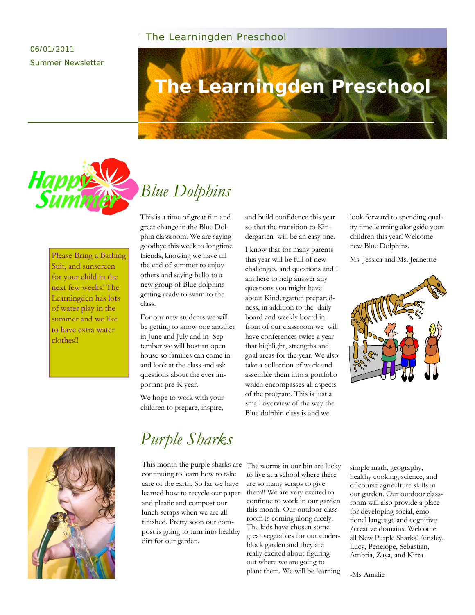### The Learningden Preschool

### 06/01/2011 Summer Newsletter

# **The Learningden Preschool**



### Please Bring a Bathing Suit, and sunscreen for your child in the next few weeks! The Learningden has lots of water play in the summer and we like to have extra water clothes!!

This is a time of great fun and great change in the Blue Dolphin classroom. We are saying goodbye this week to longtime friends, knowing we have till the end of summer to enjoy others and saying hello to a new group of Blue dolphins getting ready to swim to the class.

For our new students we will be getting to know one another in June and July and in September we will host an open house so families can come in and look at the class and ask questions about the ever important pre-K year.

We hope to work with your children to prepare, inspire,

and build confidence this year so that the transition to Kindergarten will be an easy one.

I know that for many parents this year will be full of new challenges, and questions and I am here to help answer any questions you might have about Kindergarten preparedness, in addition to the daily board and weekly board in front of our classroom we will have conferences twice a year that highlight, strengths and goal areas for the year. We also take a collection of work and assemble them into a portfolio which encompasses all aspects of the program. This is just a small overview of the way the Blue dolphin class is and we

look forward to spending quality time learning alongside your children this year! Welcome new Blue Dolphins.

Ms. Jessica and Ms. Jeanettte





# *Purple Sharks*

This month the purple sharks are continuing to learn how to take care of the earth. So far we have learned how to recycle our paper and plastic and compost our lunch scraps when we are all finished. Pretty soon our compost is going to turn into healthy dirt for our garden.

The worms in our bin are lucky to live at a school where there are so many scraps to give them!! We are very excited to continue to work in our garden this month. Our outdoor classroom is coming along nicely. The kids have chosen some great vegetables for our cinderblock garden and they are really excited about figuring out where we are going to plant them. We will be learning

simple math, geography, healthy cooking, science, and of course agriculture skills in our garden. Our outdoor classroom will also provide a place for developing social, emotional language and cognitive /creative domains. Welcome all New Purple Sharks! Ainsley, Lucy, Penelope, Sebastian, Ambria, Zaya, and Kirra

-Ms Amalie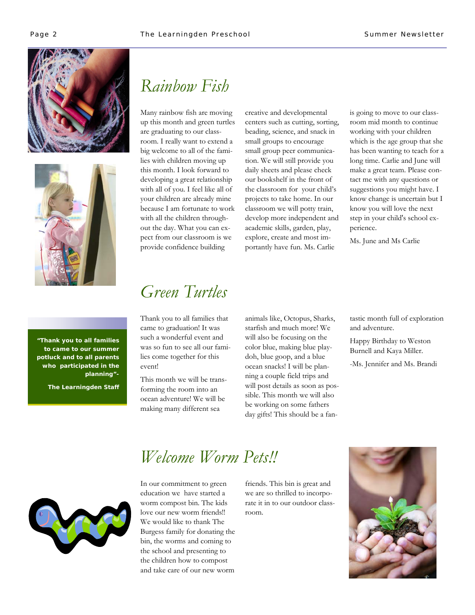



# *Rainbow Fish*

Many rainbow fish are moving up this month and green turtles are graduating to our classroom. I really want to extend a big welcome to all of the families with children moving up this month. I look forward to developing a great relationship with all of you. I feel like all of your children are already mine because I am fortunate to work with all the children throughout the day. What you can expect from our classroom is we provide confidence building

creative and developmental centers such as cutting, sorting, beading, science, and snack in small groups to encourage small group peer communication. We will still provide you daily sheets and please check our bookshelf in the front of the classroom for your child's projects to take home. In our classroom we will potty train, develop more independent and academic skills, garden, play, explore, create and most importantly have fun. Ms. Carlie

is going to move to our classroom mid month to continue working with your children which is the age group that she has been wanting to teach for a long time. Carlie and June will make a great team. Please contact me with any questions or suggestions you might have. I know change is uncertain but I know you will love the next step in your child's school experience.

Ms. June and Ms Carlie

**"Thank you to all families to came to our summer potluck and to all parents who participated in the planning"-** 

**The Learningden Staff** 

### *Green Turtles*

Thank you to all families that came to graduation! It was such a wonderful event and was so fun to see all our families come together for this event!

This month we will be transforming the room into an ocean adventure! We will be making many different sea

animals like, Octopus, Sharks, starfish and much more! We will also be focusing on the color blue, making blue playdoh, blue goop, and a blue ocean snacks! I will be planning a couple field trips and will post details as soon as possible. This month we will also be working on some fathers day gifts! This should be a fantastic month full of exploration and adventure.

Happy Birthday to Weston Burnell and Kaya Miller.

-Ms. Jennifer and Ms. Brandi



# *Welcome Worm Pets!!*

In our commitment to green education we have started a worm compost bin. The kids love our new worm friends!! We would like to thank The Burgess family for donating the bin, the worms and coming to the school and presenting to the children how to compost and take care of our new worm

friends. This bin is great and we are so thrilled to incorporate it in to our outdoor classroom.